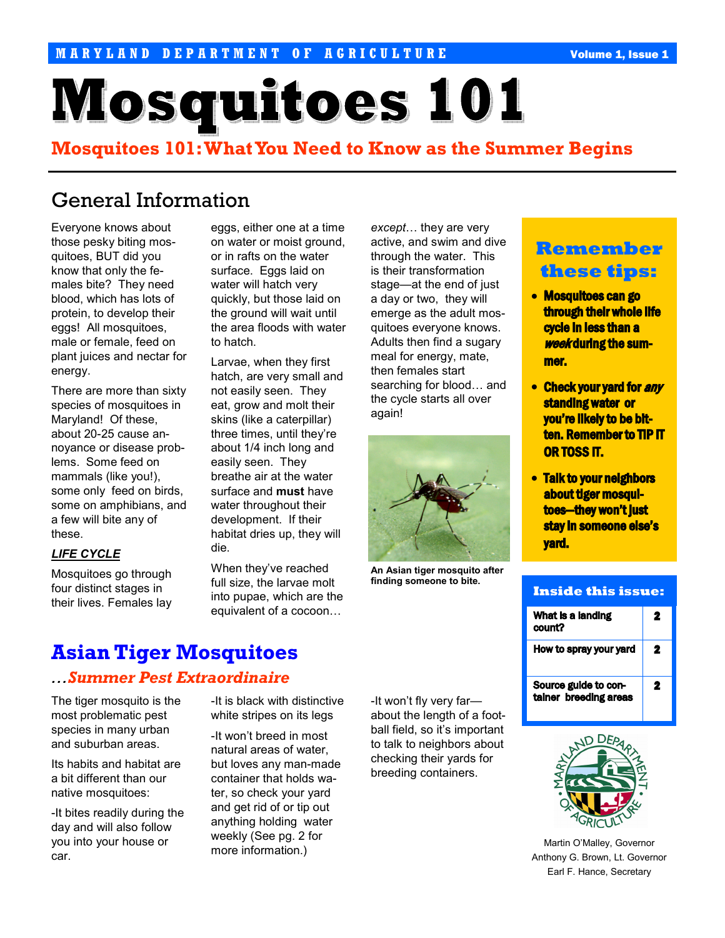# **Mosquitoes 101**

## Mosquitoes 101: What You Need to Know as the Summer Begins

## General Information

Everyone knows about those pesky biting mosquitoes, BUT did you know that only the females bite? They need blood, which has lots of protein, to develop their eggs! All mosquitoes, male or female, feed on plant juices and nectar for energy.

There are more than sixty species of mosquitoes in Maryland! Of these, about 20-25 cause annoyance or disease problems. Some feed on mammals (like you!), some only feed on birds, some on amphibians, and a few will bite any of these.

#### LIFE CYCLE

Mosquitoes go through four distinct stages in their lives. Females lay eggs, either one at a time on water or moist ground, or in rafts on the water surface. Eggs laid on water will hatch very quickly, but those laid on the ground will wait until the area floods with water to hatch.

Larvae, when they first hatch, are very small and not easily seen. They eat, grow and molt their skins (like a caterpillar) three times, until they're about 1/4 inch long and easily seen. They breathe air at the water surface and must have water throughout their development. If their habitat dries up, they will die.

When they've reached full size, the larvae molt into pupae, which are the equivalent of a cocoon…

except… they are very active, and swim and dive through the water. This is their transformation stage—at the end of just a day or two, they will emerge as the adult mosquitoes everyone knows. Adults then find a sugary meal for energy, mate, then females start searching for blood… and the cycle starts all over again!



An Asian tiger mosquito after finding someone to bite.

## Remember these tips:

- Mosquitoes can go through their whole life cycle in less than a **week during the sum**mer.
- Check your yard for any standing water or you're likely to be bitten. Remember to TIP IT OR TOSS IT.
- Talk to your neighbors about tiger mosquitoes—they won't just stay in someone else's yard.

| <b>Inside this issue:</b>                     |   |
|-----------------------------------------------|---|
| What is a landing<br>count?                   | 2 |
| How to spray your yard                        | 2 |
| Source guide to con-<br>tainer breeding areas | 2 |



Martin O'Malley, Governor Anthony G. Brown, Lt. Governor Earl F. Hance, Secretary

## Asian Tiger Mosquitoes

### …Summer Pest Extraordinaire

The tiger mosquito is the most problematic pest species in many urban and suburban areas.

Its habits and habitat are a bit different than our native mosquitoes:

-It bites readily during the day and will also follow you into your house or car.

-It is black with distinctive white stripes on its legs

-It won't breed in most natural areas of water, but loves any man-made container that holds water, so check your yard and get rid of or tip out anything holding water weekly (See pg. 2 for more information.)

-It won't fly very far about the length of a football field, so it's important to talk to neighbors about checking their yards for breeding containers.